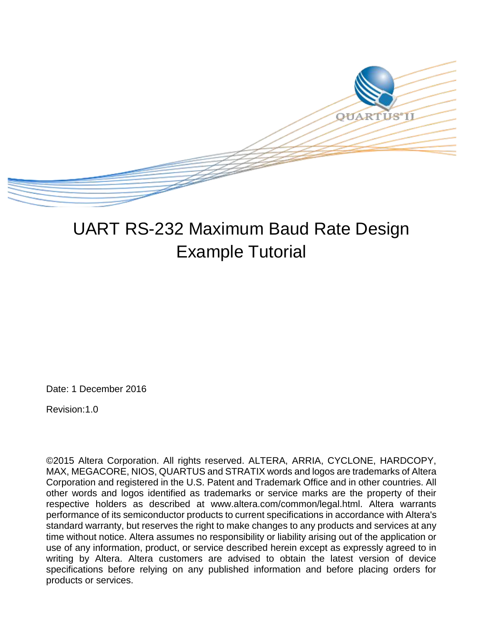

# UART RS-232 Maximum Baud Rate Design Example Tutorial

Date: 1 December 2016

Revision:1.0

©2015 Altera Corporation. All rights reserved. ALTERA, ARRIA, CYCLONE, HARDCOPY, MAX, MEGACORE, NIOS, QUARTUS and STRATIX words and logos are trademarks of Altera Corporation and registered in the U.S. Patent and Trademark Office and in other countries. All other words and logos identified as trademarks or service marks are the property of their respective holders as described at www.altera.com/common/legal.html. Altera warrants performance of its semiconductor products to current specifications in accordance with Altera's standard warranty, but reserves the right to make changes to any products and services at any time without notice. Altera assumes no responsibility or liability arising out of the application or use of any information, product, or service described herein except as expressly agreed to in writing by Altera. Altera customers are advised to obtain the latest version of device specifications before relying on any published information and before placing orders for products or services.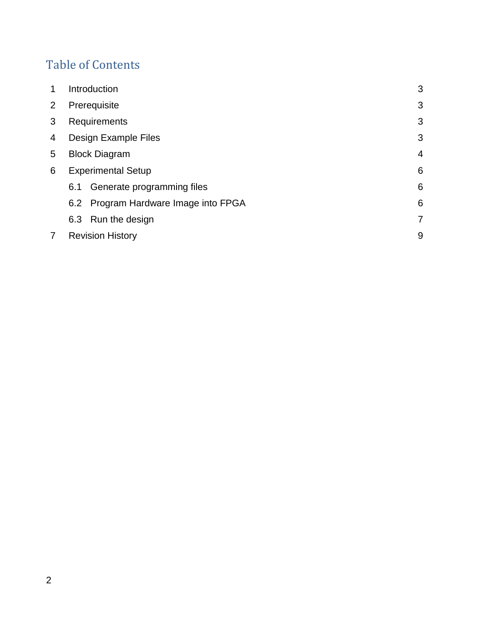## Table of Contents

| 1 | Introduction                         | 3              |
|---|--------------------------------------|----------------|
| 2 | Prerequisite                         | 3              |
| 3 | Requirements                         | 3              |
| 4 | Design Example Files                 | 3              |
| 5 | <b>Block Diagram</b>                 | $\overline{4}$ |
| 6 | <b>Experimental Setup</b>            | 6              |
|   | Generate programming files<br>6.1    | 6              |
|   | 6.2 Program Hardware Image into FPGA | 6              |
|   | 6.3 Run the design                   | 7              |
|   | <b>Revision History</b>              | 9              |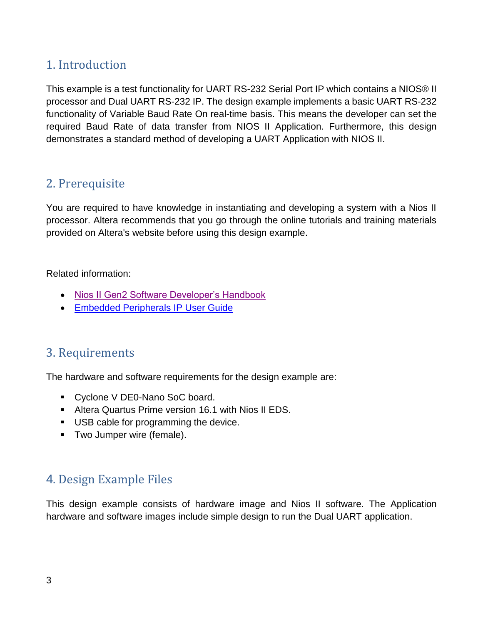## 1. Introduction

This example is a test functionality for UART RS-232 Serial Port IP which contains a NIOS® II processor and Dual UART RS-232 IP. The design example implements a basic UART RS-232 functionality of Variable Baud Rate On real-time basis. This means the developer can set the required Baud Rate of data transfer from NIOS II Application. Furthermore, this design demonstrates a standard method of developing a UART Application with NIOS II.

## 2. Prerequisite

You are required to have knowledge in instantiating and developing a system with a Nios II processor. Altera recommends that you go through the online tutorials and training materials provided on Altera's website before using this design example.

Related information:

- [Nios II Gen2 Software Developer's Handbook](https://www.altera.com/en_US/pdfs/literature/hb/nios2/n2sw_nii5v2gen2.pdf)
- [Embedded Peripherals](https://www.altera.com/en_US/pdfs/literature/ug/ug_embedded_ip.pdf) IP User Guide

## 3. Requirements

The hardware and software requirements for the design example are:

- Cyclone V DE0-Nano SoC board.
- Altera Quartus Prime version 16.1 with Nios II EDS.
- USB cable for programming the device.
- **Two Jumper wire (female).**

## 4. Design Example Files

This design example consists of hardware image and Nios II software. The Application hardware and software images include simple design to run the Dual UART application.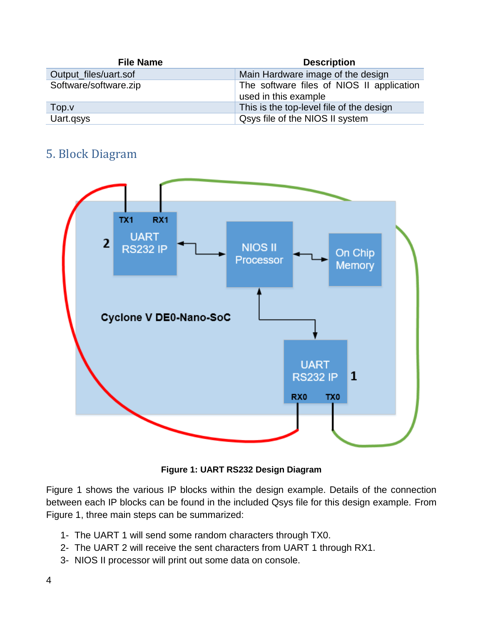| <b>File Name</b>      | <b>Description</b>                                                |
|-----------------------|-------------------------------------------------------------------|
| Output_files/uart.sof | Main Hardware image of the design                                 |
| Software/software.zip | The software files of NIOS II application<br>used in this example |
| Top.v                 | This is the top-level file of the design                          |
| Uart.qsys             | Qsys file of the NIOS II system                                   |

## 5. Block Diagram



**Figure 1: UART RS232 Design Diagram**

Figure 1 shows the various IP blocks within the design example. Details of the connection between each IP blocks can be found in the included Qsys file for this design example. From Figure 1, three main steps can be summarized:

- 1- The UART 1 will send some random characters through TX0.
- 2- The UART 2 will receive the sent characters from UART 1 through RX1.
- 3- NIOS II processor will print out some data on console.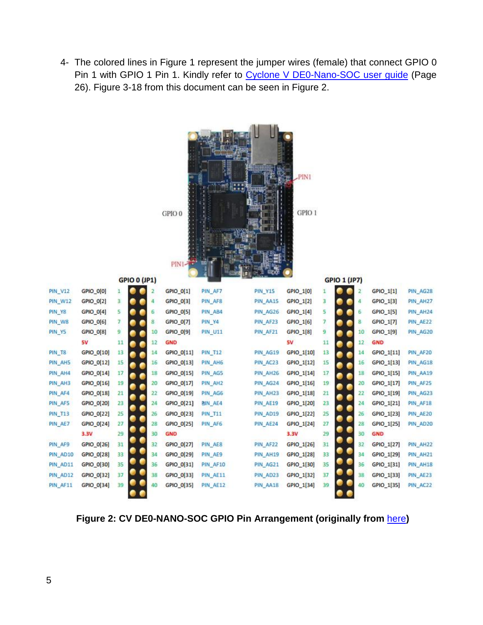4- The colored lines in Figure 1 represent the jumper wires (female) that connect GPIO 0 Pin 1 with GPIO 1 Pin 1. Kindly refer to [Cyclone V DE0-Nano-SOC](http://www.terasic.com.tw/attachment/archive/941/DE0-Nano-SoC_User_manual.pdf) user guide (Page 26). Figure 3-18 from this document can be seen in Figure 2.

**CALIFORNIA DE** 

|                |            |    | <b>GPIO 0 (JP1)</b> |                | GPIO 0<br>PIN1-7 |                |                | $-$ PINI<br>GPIO 1 |              | <b>GPIO 1 (JP7)</b> |                |            |          |
|----------------|------------|----|---------------------|----------------|------------------|----------------|----------------|--------------------|--------------|---------------------|----------------|------------|----------|
| <b>PIN_V12</b> | GPIO_0[0]  | 1  |                     | $\overline{2}$ | GPIO_0[1]        | PIN_AF7        | <b>PIN_Y15</b> | GPIO_1[0]          | $\mathbf{1}$ |                     | $\overline{2}$ | GPIO 1[1]  | PIN_AG28 |
| <b>PIN_W12</b> | GPIO_0[2]  | 3  |                     | 4              | GPIO 0[3]        | PIN_AF8        | PIN AA15       | GPIO 1[2]          | з            |                     | 4              | GPIO 1[3]  | PIN_AH27 |
| PIN_Y8         | GPIO_0[4]  | 5  |                     | 6              | GPIO_0[5]        | PIN_AB4        | PIN AG26       | GPIO_1[4]          | 5            |                     | 6              | GPIO 1[5]  | PIN AH24 |
| PIN W8         | GPIO_0[6]  | 7  |                     | 8              | GPIO_0[7]        | PIN Y4         | PIN_AF23       | GPIO_1[6]          | 7            |                     | 8              | GPIO_1[7]  | PIN AE22 |
| PIN_Y5         | GPIO_0[8]  | 9  |                     | 10             | GPIO_0[9]        | <b>PIN_U11</b> | PIN_AF21       | GPIO_1[8]          | 9            |                     | 10             | GPIO_1[9]  | PIN_AG20 |
|                | <b>5V</b>  | 11 |                     | 12             | <b>GND</b>       |                |                | 5V                 | 11           |                     | 12             | GND        |          |
| <b>PIN T8</b>  | GPIO_0[10] | 13 |                     | 14             | GPIO_0[11]       | <b>PIN_T12</b> | PIN AG19       | GPIO_1[10]         | 13           |                     | 14             | GPIO_1[11] | PIN_AF20 |
| PIN_AH5        | GPIO_0[12] | 15 |                     | 16             | GPIO_0[13]       | PIN_AH6        | PIN AC23       | GPIO_1[12]         | 15           |                     | 16             | GPIO_1[13] | PIN_AG18 |
| PIN_AH4        | GPIO_0[14] | 17 |                     | 18             | GPIO_0[15]       | PIN AG5        | PIN AH26       | GPIO 1[14]         | 17           |                     | 18             | GPIO_1[15] | PIN AA19 |
| PIN_AH3        | GPIO_0[16] | 19 |                     | 20             | GPIO 0[17]       | PIN_AH2        | PIN AG24       | GPIO 1[16]         | 19           |                     | 20             | GPIO 1[17] | PIN AF25 |
| PIN_AF4        | GPIO_0[18] | 21 |                     | 22             | GPIO_0[19]       | PIN_AG6        | PIN_AH23       | GPIO_1[18]         | 21           |                     | 22             | GPIO_1[19] | PIN AG23 |
| PIN_AF5        | GPIO_0[20] | 23 |                     | 24             | GPIO_0[21]       | <b>BIN AE4</b> | PIN AE19       | GPIO_1[20]         | 23           |                     | 24             | GPIO_1[21] | PIN_AF18 |
| <b>PIN_T13</b> | GPIO_0[22] | 25 |                     | 26             | GPIO_0[23]       | <b>PIN_T11</b> | PIN_AD19       | GPIO_1[22]         | 25           |                     | 26             | GPIO_1[23] | PIN AE20 |
| PIN_AE7        | GPIO_0[24] | 27 |                     | 28             | GPIO_0[25]       | PIN AF6        | PIN_AE24       | GPIO_1[24]         | 27           |                     | 28             | GPIO_1[25] | PIN_AD20 |
|                | 3.3V       | 29 |                     | 30             | <b>GND</b>       |                |                | 3.3V               | 29           |                     | 30             | GND        |          |
| PIN_AF9        | GPIO_0[26] | 31 |                     | 32             | GPIO_0[27]       | PIN_AE8        | PIN AF22       | GPIO 1[26]         | 31           |                     | 32             | GPIO_1[27] | PIN_AH22 |
| PIN_AD10       | GPIO_0[28] | 33 |                     | 34             | GPIO_0[29]       | PIN AE9        | PIN_AH19       | GPIO_1[28]         | 33           |                     | 34             | GPIO_1[29] | PIN AH21 |
| PIN_AD11       | GPIO_0[30] | 35 |                     | 36             | GPIO_0[31]       | PIN_AF10       | PIN AG21       | GPIO_1[30]         | 35           |                     | 36             | GPIO_1[31] | PIN_AH18 |
| PIN_AD12       | GPIO_0[32] | 37 |                     | 38             | GPIO 0[33]       | PIN AE11       | PIN AD23       | GPIO_1[32]         | 37           |                     | 38             | GPIO 1[33] | PIN_AE23 |
| PIN AF11       | GPIO_0[34] | 39 |                     | 40             | GPIO_0[35]       | PIN AE12       | PIN AA18       | GPIO_1[34]         | 39           |                     | 40             | GPIO_1[35] | PIN AC22 |

**Figure 2: CV DE0-NANO-SOC GPIO Pin Arrangement (originally from** [here](http://www.terasic.com.tw/attachment/archive/941/DE0-Nano-SoC_User_manual.pdf)**)**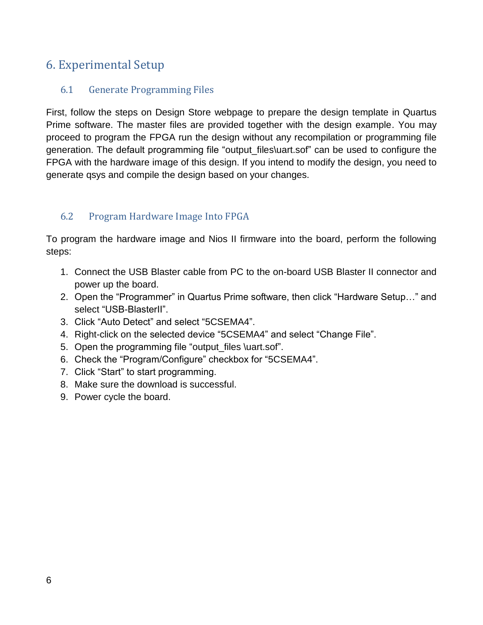## 6. Experimental Setup

#### 6.1 Generate Programming Files

First, follow the steps on Design Store webpage to prepare the design template in Quartus Prime software. The master files are provided together with the design example. You may proceed to program the FPGA run the design without any recompilation or programming file generation. The default programming file "output\_files\uart.sof" can be used to configure the FPGA with the hardware image of this design. If you intend to modify the design, you need to generate qsys and compile the design based on your changes.

#### 6.2 Program Hardware Image Into FPGA

To program the hardware image and Nios II firmware into the board, perform the following steps:

- 1. Connect the USB Blaster cable from PC to the on-board USB Blaster II connector and power up the board.
- 2. Open the "Programmer" in Quartus Prime software, then click "Hardware Setup…" and select "USB-BlasterII".
- 3. Click "Auto Detect" and select "5CSEMA4".
- 4. Right-click on the selected device "5CSEMA4" and select "Change File".
- 5. Open the programming file "output\_files \uart.sof".
- 6. Check the "Program/Configure" checkbox for "5CSEMA4".
- 7. Click "Start" to start programming.
- 8. Make sure the download is successful.
- 9. Power cycle the board.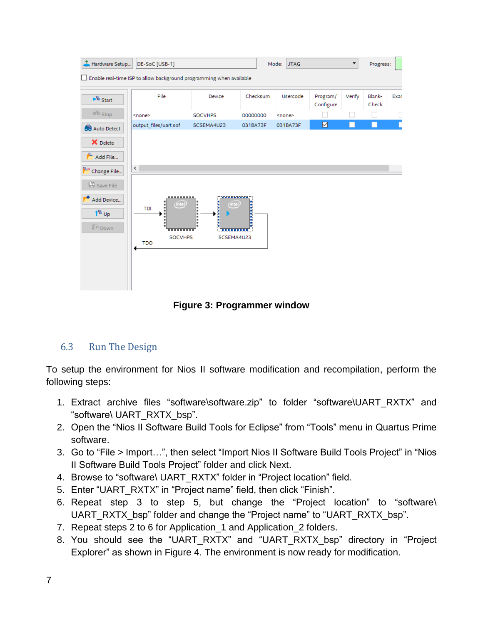| Hardware Setup                                                       | DE-SoC [USB-1]                                                      |                                            |               | <b>JTAG</b><br>Mode: |                       | ▼      | Progress:       |      |
|----------------------------------------------------------------------|---------------------------------------------------------------------|--------------------------------------------|---------------|----------------------|-----------------------|--------|-----------------|------|
|                                                                      | Enable real-time ISP to allow background programming when available |                                            |               |                      |                       |        |                 |      |
| $\mathbb{R}^m$ Start                                                 | File                                                                | Device                                     | Checksum      | Usercode             | Program/<br>Configure | Verify | Blank-<br>Check | Exar |
| $\mathbb{R}^m$ Stop                                                  | <none></none>                                                       | SOCVHPS                                    | 00000000      | <none></none>        |                       |        |                 | Г    |
| <b>60</b> Auto Detect                                                | output files/uart.sof                                               | 5CSEMA4U23                                 | 031BA73F      | 031BA73F             | ☑                     | ш      | П               | Г    |
| X Delete                                                             |                                                                     |                                            |               |                      |                       |        |                 |      |
| ۳<br>Add File                                                        |                                                                     |                                            |               |                      |                       |        |                 |      |
| <b>PP</b> Change File                                                | $\leq$                                                              |                                            |               |                      |                       |        |                 |      |
| Save File                                                            |                                                                     |                                            |               |                      |                       |        |                 |      |
| Add Device<br>1 <sup>4</sup> <sup>th</sup> ∪p<br>↓ <sup>W</sup> Down | <br>(intel)<br>TDI<br><b>SOCVHPS</b><br><b>TDO</b>                  | www.community.com<br>(intel)<br>5CSEMA4U23 | <b>Buttle</b> |                      |                       |        |                 |      |
|                                                                      |                                                                     |                                            |               |                      |                       |        |                 |      |

**Figure 3: Programmer window**

#### 6.3 Run The Design

To setup the environment for Nios II software modification and recompilation, perform the following steps:

- 1. Extract archive files "software\software.zip" to folder "software\UART\_RXTX" and "software\ UART\_RXTX\_bsp".
- 2. Open the "Nios II Software Build Tools for Eclipse" from "Tools" menu in Quartus Prime software.
- 3. Go to "File > Import…", then select "Import Nios II Software Build Tools Project" in "Nios II Software Build Tools Project" folder and click Next.
- 4. Browse to "software\ UART\_RXTX" folder in "Project location" field.
- 5. Enter "UART\_RXTX" in "Project name" field, then click "Finish".
- 6. Repeat step 3 to step 5, but change the "Project location" to "software\ UART\_RXTX\_bsp" folder and change the "Project name" to "UART\_RXTX\_bsp".
- 7. Repeat steps 2 to 6 for Application\_1 and Application\_2 folders.
- 8. You should see the "UART\_RXTX" and "UART\_RXTX\_bsp" directory in "Project Explorer" as shown in Figure 4. The environment is now ready for modification.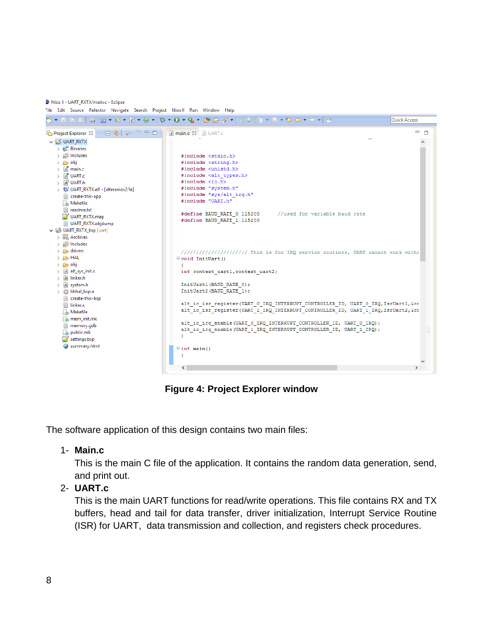Nios II - UART\_RXTX/main.c - Eclipse

File Edit Source Refactor Navigate Search Project Nios II Run Window Help



**Figure 4: Project Explorer window**

The software application of this design contains two main files:

#### 1- **Main.c**

This is the main C file of the application. It contains the random data generation, send, and print out.

#### 2- **UART.c**

This is the main UART functions for read/write operations. This file contains RX and TX buffers, head and tail for data transfer, driver initialization, Interrupt Service Routine (ISR) for UART, data transmission and collection, and registers check procedures.